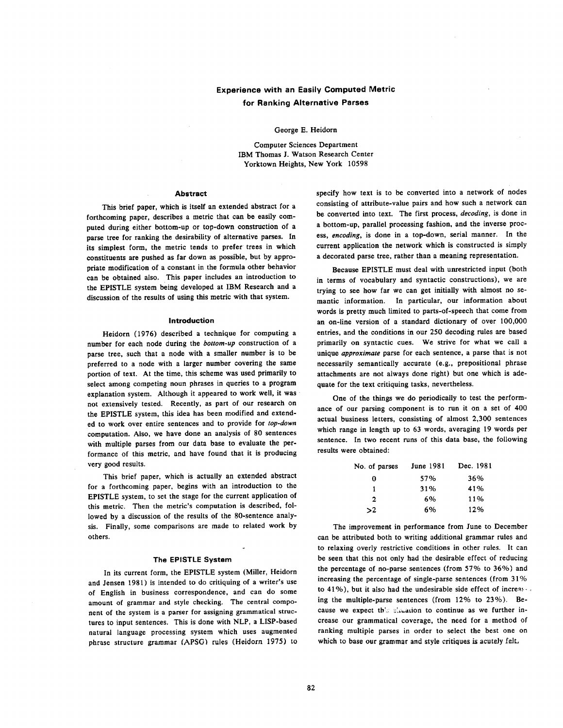# **Experience with an Easily Computed Metric for Ranking Alternative Parses**

#### George E. Heidorn

Computer Sciences Department IBM Thomas J. Watson Research Center Yorktown Heights, New York 10598

#### **Abstract**

This brief paper, which is itself an extended abstract for a forthcoming paper, describes a metric that can be easily computed during either bottom-up or top-down construction of a parse tree for ranking the desirability of alternative parses. In **its** simplest form, the metric tends to prefer trees in which constituents are pushed as far down as possible, but by appropriate modification of a constant in the formula other behavior can be obtained also. This paper includes an introduction to the EPISTLE system being developed at IBM Research and a discussion of the results of using this metric with that system.

## **Introduction**

Heidorn (1976) described a technique for computing a number for each node during the *bottom-up* construction of a parse tree, such that a node with a smaller number is to be preferred to a node with a larger number covering the same portion of text. At the time, this scheme was used primarily to select among competing noun phrases in queries to a program explanation system. Although it appeared to work well, it was not extensively tested. Recently, as part of our research on the EPISTLE system, this idea has been modified and extended to work over entire sentences and to provide for *top-down*  computation. Also, we have done an analysis of 80 sentences with multiple parses from our data base to evaluate the performance of this metric, and have found that it is producing very good results.

This brief paper, which is actually an extended abstract for a forthcoming paper, begins with an introduction to the EPISTLE system, to set the stage for the current application of this metric. Then the metrie's computation is described, followed by a discussion of the results of the 80-sentence analysis. Finally, some comparisons are made to related work by others.

### The EPISTLE System

In its current form, the EPISTLE system (Miller, Heidorn and Jensen 1981) is intended to do critiquing of a writer's use of English in business correspondence, and can do some amount of grammar and style checking. The central component of the system is a parser for assigning grammatical structures to input sentences. This is done with NLP, a LISP-based natural language processing system which uses augmented phrase structure grammar (APSG) rules (Heidorn 1975) to specify how text is to be converted into a network of nodes consisting of attribute-value pairs and how such a network can be converted into text. The first process, *decoding,* is done in a bottom-up, parallel processing fashion, and the inverse process, *encoding,* is done in a top-down, serial manner. In the current application the network which is constructed is simply a decorated parse tree, rather than a meaning representation.

Because EPISTLE must deal with unrestricted input (both in terms of vocabulary and syntactic constructions), we are trying to see how far we can get initially with almost no semantic information. In particular, our information about words is pretty much limited to parts-of-speech that come from an on-line version of a standard dictionary of over 100,000 entries, and the conditions in our 250 decoding rules are based primarily on syntactic cues. We strive for what we call a unique *approximate* parse for each sentence, a parse that is not necessarily semantically accurate (e.g., prepositional phrase attachments are not always done right) but one which is adequate for the text critiquing tasks, nevertheless.

One of the things we do periodically to test the performanee of our parsing component is to run it on a set of 400 actual business letters, consisting of almost 2,300 sentences which range in length up to 63 words, averaging 19 words per sentence. In two recent runs of this data base, the following results were obtained:

| No. of parses | June 1981 | Dec. 1981 |
|---------------|-----------|-----------|
| 0             | 57%       | 36%       |
|               | 31%       | 41%       |
| 2             | 6%        | 11%       |
| >2            | 6%        | 12%       |

The improvement in performance from June to December can be attributed both to writing additional grammar rules and to relaxing overly restrictive conditions in other rules. It can be seen that this not only had the desirable effect of reducing the percentage of no-parse sentences (from 57% to 36%) and increasing the percentage of single-parse sentences (from 31% to 41%), but it also had the undesirable side effect of increased ing the multiple-parse sentences (from 12% to 23%). Because we expect this simation to continue as we further increase our grammatical coverage, the need for a method of ranking multiple parses in order to select the best one on which to base our grammar and style critiques is acutely felt,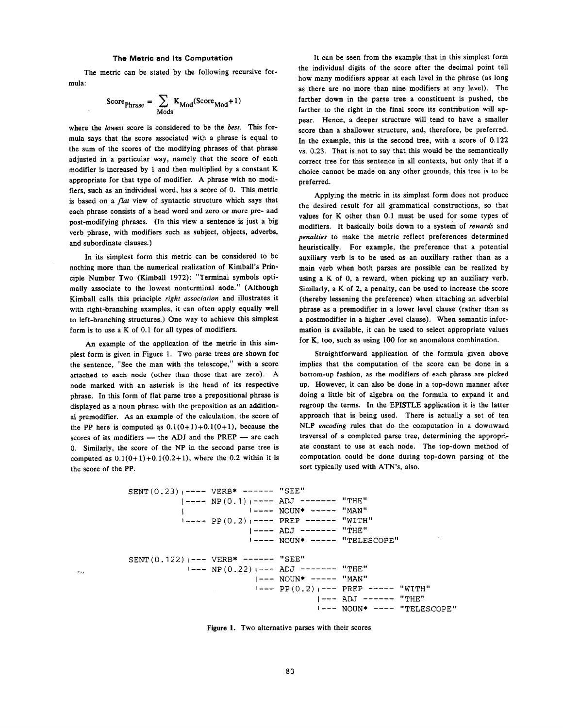# **The Metric and Its Computation**

The metric can be stated by the following recursive formula:

$$
ScorePhrase = \sum_{Mods} K_{Mod}(ScoreMod + 1)
$$

where the *lowest* score is considered to be the *best.* This formula says that the score associated with a phrase is equal to the sum of the scores of the modifying phrases of that phrase adjusted in a particular way, namely that the score of each modifier is increased by 1 and then multiplied by a constant K appropriate for that type of modifier. A phrase with no modifiers, such as an individual word, has a score of 0. This metric is based on a *flat* view of syntactic structure which says that each phrase consists of a head word and zero or more pre- and post-modifying phrases. (In this view a sentence is just a big verb phrase, with modifiers such as subject, objects, adverbs, and subordinate clauses.)

In its simplest form this metric can be considered to be nothing more than the numerical realization of Kimbatl's Principle Number Two (Kimball 1972): "Terminal symbols optimally associate to the lowest nonterminal node." (Although Kimball calls this principle *right association* and illustrates it with right-branching examples, it can often apply equally well to left-branching structures.) One way to achieve this simplest form is to use a K of 0.1 for all types of modifiers.

An example of the application of the metric in this simplest form is given in Figure 1. Two parse trees are shown for the sentence, "See the man with the telescope," with a score attached to each node (other than those that are zero). A node marked with an asterisk is the head of its respective phrase. In this form of flat parse tree a prepositional phrase is displayed as a noun phrase with the preposition as an additional premodifier. As an example of the calculation, the score of the PP here is computed as  $0.1(0+1)+0.1(0+1)$ , because the scores of its modifiers  $-$  the ADJ and the PREP  $-$  are each 0. Similarly, the score of the NP in the second parse tree is computed as  $0.1(0+1)+0.1(0.2+1)$ , where the 0.2 within it is the score of the PP.

 $\frac{1}{\sqrt{2}}\rho_{\rm eff}$ 

It can be seen from the example that in this simplest form the individual digits of the score after the decimal point tell how many modifiers appear at each level in the phrase (as long as there are no more than nine modifiers at any level). The farther down in the parse tree a constituent is pushed, the farther to the right in the final score its contribution will appear. Hence, a deeper structure will tend to have a smaller score than a shallower structure, and, therefore, be preferred. In the example, this is the second tree, with a score of 0.122 vs. 0.23. That is not to say that this would be the semantically correct tree for this sentence in all contexts, but only that if a choice cannot be made on any other grounds, this tree is to be preferred.

Applying the metric in its simplest form does not produce the desired result for all grammatical constructions, so that values for K other than 0.1 must be used for some types of modifiers. It basically boils down to a system of *rewards* and *penalties* to make the metric reflect preferences determined heuristically. For example, the preference that a potential auxiliary verb is to be used as an auxiliary rather than as a main verb when both parses are possible can be realized by using a K of 0, a reward, when picking up an auxiliary verb. Similarly, a K of 2, a penalty, can be used to increase the score (thereby lessening the preference) when attaching an adverbial phrase as a premodifier in a lower level clause (rather than as a postmodifier in a higher level clause). When semantic information is available, it can be used to select appropriate values for K, too, such as using 100 for an anomalous combination.

Straightforward application of the formula given above implies that the computation of the score can be done in a bottom-up fashion, as the modifiers of each phrase are picked up. However, it can also be done in a top-down manner after doing a little bit of algebra on the formula to expand it and regroup the terms. In the EPISTLE application it is the latter approach that is being used. There is actually a set of ten NLP *encoding* rules that do the computation in a downward traversal of a completed parse tree, determining the appropriate constant to use at each node. The top-down method of computation could be done during top-down parsing of the sort typically used with ATN's, also.

SENT (0.23) 
$$
1---
$$
 VERB\*  $-- ADJ$   $-- THE"$ 

\n|  $-- NP(0.1)  $-- ADJ$   $-- "THE"$$ 

\n|  $-- POUN*$   $-- " $MAN"$$ 

\n|  $-- PD(0.2)  $-- PREP$   $-- " $WITH"$$$ 

\n|  $-- ADJ$   $-- "THE"$ 

\n|  $-- NOUN*$   $-- " $TELESCOPE"$$ 

\nSENT (0.122)  $-- VERB*$   $-- " $SEE"$$ 

\n|  $-- NP(0.22)  $-- ADJ$   $-- " $THE"$$$ 

\n|  $-- NOUN*$   $-- " $MAN"$$ 

\n|  $-- PDJ$   $-- " $THE"$$ 

\n|  $-- ADJ$   $-- " $THE"$$ 

\n|  $-- ADJ$   $-- " $THE"$$ 

\n|  $-- ADJ$   $-- " $THE"$$ 

\n|  $-- NDUN*$   $---$  " $THE"$